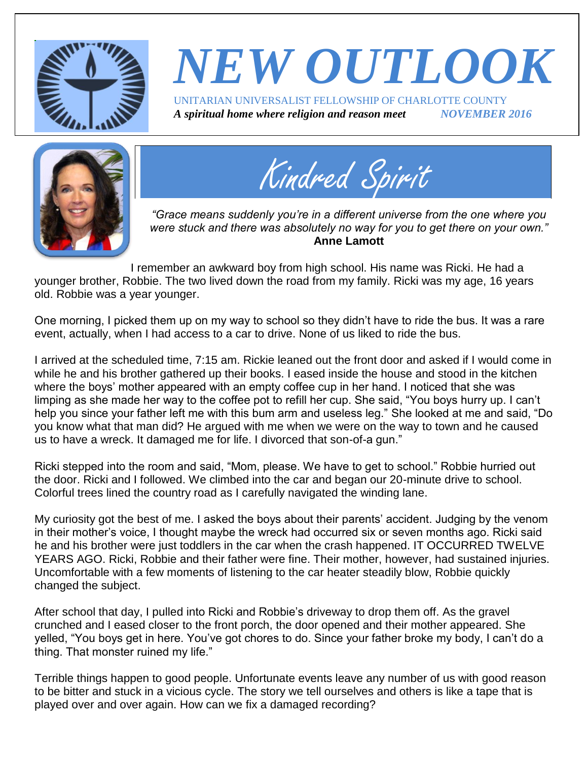

## *NEW OUTLOOK* UNITARIAN UNIVERSALIST FELLOWSHIP OF CHARLOTTE COUNTY *A spiritual home where religion and reason meet NOVEMBER 2016*





*"Grace means suddenly you're in a different universe from the one where you were stuck and there was absolutely no way for you to get there on your own."* **Anne Lamott**

I remember an awkward boy from high school. His name was Ricki. He had a younger brother, Robbie. The two lived down the road from my family. Ricki was my age, 16 years old. Robbie was a year younger.

One morning, I picked them up on my way to school so they didn't have to ride the bus. It was a rare event, actually, when I had access to a car to drive. None of us liked to ride the bus.

I arrived at the scheduled time, 7:15 am. Rickie leaned out the front door and asked if I would come in while he and his brother gathered up their books. I eased inside the house and stood in the kitchen where the boys' mother appeared with an empty coffee cup in her hand. I noticed that she was limping as she made her way to the coffee pot to refill her cup. She said, "You boys hurry up. I can't help you since your father left me with this bum arm and useless leg." She looked at me and said, "Do you know what that man did? He argued with me when we were on the way to town and he caused us to have a wreck. It damaged me for life. I divorced that son-of-a gun."

Ricki stepped into the room and said, "Mom, please. We have to get to school." Robbie hurried out the door. Ricki and I followed. We climbed into the car and began our 20-minute drive to school. Colorful trees lined the country road as I carefully navigated the winding lane.

My curiosity got the best of me. I asked the boys about their parents' accident. Judging by the venom in their mother's voice, I thought maybe the wreck had occurred six or seven months ago. Ricki said he and his brother were just toddlers in the car when the crash happened. IT OCCURRED TWELVE YEARS AGO. Ricki, Robbie and their father were fine. Their mother, however, had sustained injuries. Uncomfortable with a few moments of listening to the car heater steadily blow, Robbie quickly changed the subject.

After school that day, I pulled into Ricki and Robbie's driveway to drop them off. As the gravel crunched and I eased closer to the front porch, the door opened and their mother appeared. She yelled, "You boys get in here. You've got chores to do. Since your father broke my body, I can't do a thing. That monster ruined my life."

Terrible things happen to good people. Unfortunate events leave any number of us with good reason to be bitter and stuck in a vicious cycle. The story we tell ourselves and others is like a tape that is played over and over again. How can we fix a damaged recording?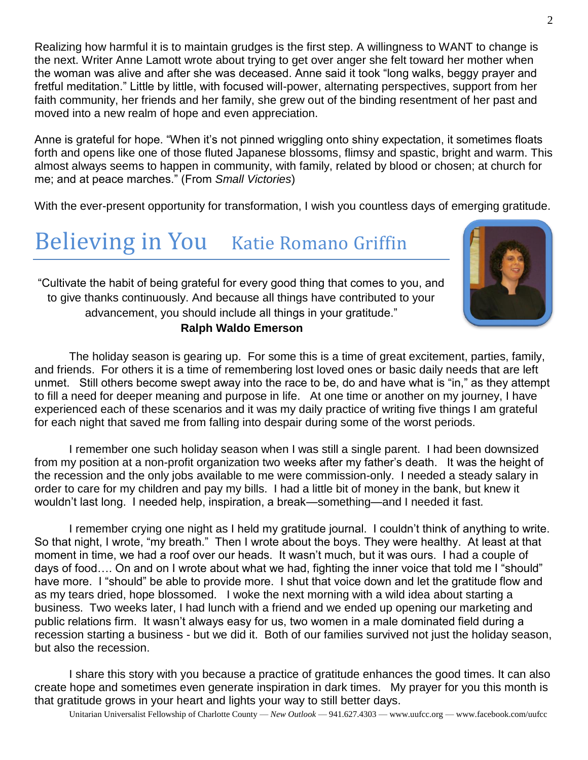Realizing how harmful it is to maintain grudges is the first step. A willingness to WANT to change is the next. Writer Anne Lamott wrote about trying to get over anger she felt toward her mother when the woman was alive and after she was deceased. Anne said it took "long walks, beggy prayer and fretful meditation." Little by little, with focused will-power, alternating perspectives, support from her faith community, her friends and her family, she grew out of the binding resentment of her past and moved into a new realm of hope and even appreciation.

Anne is grateful for hope. "When it's not pinned wriggling onto shiny expectation, it sometimes floats forth and opens like one of those fluted Japanese blossoms, flimsy and spastic, bright and warm. This almost always seems to happen in community, with family, related by blood or chosen; at church for me; and at peace marches." (From *Small Victories*)

With the ever-present opportunity for transformation, I wish you countless days of emerging gratitude.

## Believing in You Katie Romano Griffin



"Cultivate the habit of being grateful for every good thing that comes to you, and to give thanks continuously. And because all things have contributed to your advancement, you should include all things in your gratitude." **[Ralph Waldo Emerson](http://www.goodreads.com/author/show/12080.Ralph_Waldo_Emerson)**

The holiday season is gearing up. For some this is a time of great excitement, parties, family, and friends. For others it is a time of remembering lost loved ones or basic daily needs that are left unmet. Still others become swept away into the race to be, do and have what is "in," as they attempt to fill a need for deeper meaning and purpose in life. At one time or another on my journey, I have experienced each of these scenarios and it was my daily practice of writing five things I am grateful for each night that saved me from falling into despair during some of the worst periods.

I remember one such holiday season when I was still a single parent. I had been downsized from my position at a non-profit organization two weeks after my father's death. It was the height of the recession and the only jobs available to me were commission-only. I needed a steady salary in order to care for my children and pay my bills. I had a little bit of money in the bank, but knew it wouldn't last long. I needed help, inspiration, a break—something—and I needed it fast.

I remember crying one night as I held my gratitude journal. I couldn't think of anything to write. So that night, I wrote, "my breath." Then I wrote about the boys. They were healthy. At least at that moment in time, we had a roof over our heads. It wasn't much, but it was ours. I had a couple of days of food…. On and on I wrote about what we had, fighting the inner voice that told me I "should" have more. I "should" be able to provide more. I shut that voice down and let the gratitude flow and as my tears dried, hope blossomed. I woke the next morning with a wild idea about starting a business. Two weeks later, I had lunch with a friend and we ended up opening our marketing and public relations firm. It wasn't always easy for us, two women in a male dominated field during a recession starting a business - but we did it. Both of our families survived not just the holiday season, but also the recession.

I share this story with you because a practice of gratitude enhances the good times. It can also create hope and sometimes even generate inspiration in dark times. My prayer for you this month is that gratitude grows in your heart and lights your way to still better days.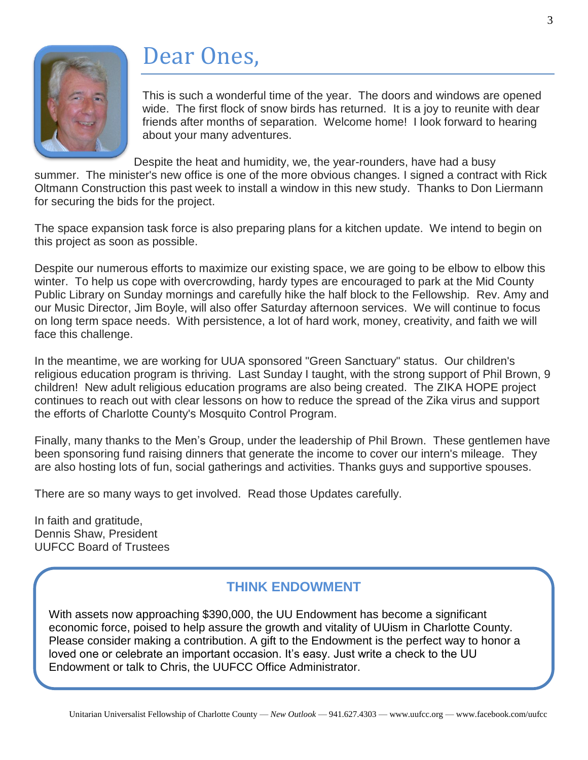

## Dear Ones,

This is such a wonderful time of the year. The doors and windows are opened wide. The first flock of snow birds has returned. It is a joy to reunite with dear friends after months of separation. Welcome home! I look forward to hearing about your many adventures.

Despite the heat and humidity, we, the year-rounders, have had a busy

summer. The minister's new office is one of the more obvious changes. I signed a contract with Rick Oltmann Construction this past week to install a window in this new study. Thanks to Don Liermann for securing the bids for the project.

The space expansion task force is also preparing plans for a kitchen update. We intend to begin on this project as soon as possible.

Despite our numerous efforts to maximize our existing space, we are going to be elbow to elbow this winter. To help us cope with overcrowding, hardy types are encouraged to park at the Mid County Public Library on Sunday mornings and carefully hike the half block to the Fellowship. Rev. Amy and our Music Director, Jim Boyle, will also offer Saturday afternoon services. We will continue to focus on long term space needs. With persistence, a lot of hard work, money, creativity, and faith we will face this challenge.

In the meantime, we are working for UUA sponsored "Green Sanctuary" status. Our children's religious education program is thriving. Last Sunday I taught, with the strong support of Phil Brown, 9 children! New adult religious education programs are also being created. The ZIKA HOPE project continues to reach out with clear lessons on how to reduce the spread of the Zika virus and support the efforts of Charlotte County's Mosquito Control Program.

Finally, many thanks to the Men's Group, under the leadership of Phil Brown. These gentlemen have been sponsoring fund raising dinners that generate the income to cover our intern's mileage. They are also hosting lots of fun, social gatherings and activities. Thanks guys and supportive spouses.

There are so many ways to get involved. Read those Updates carefully.

In faith and gratitude, Dennis Shaw, President UUFCC Board of Trustees

#### **THINK ENDOWMENT**

With assets now approaching \$390,000, the UU Endowment has become a significant economic force, poised to help assure the growth and vitality of UUism in Charlotte County. Please consider making a contribution. A gift to the Endowment is the perfect way to honor a loved one or celebrate an important occasion. It's easy. Just write a check to the UU Endowment or talk to Chris, the UUFCC Office Administrator.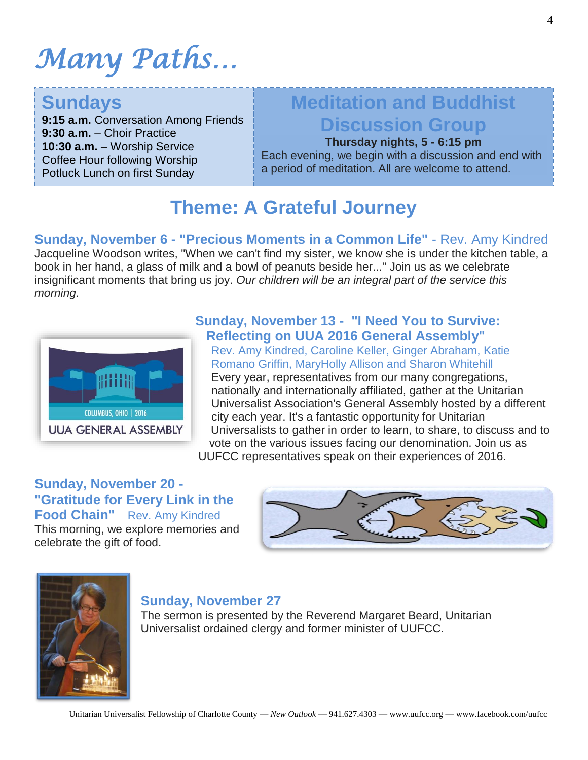# *Many Paths…*

### **Sundays**

**9:15 a.m.** Conversation Among Friends **9:30 a.m.** – Choir Practice **10:30 a.m.** – Worship Service Coffee Hour following Worship Potluck Lunch on first Sunday

### **Meditation and Buddhist Discussion Group**

**Thursday nights, 5 - 6:15 pm**

Each evening, we begin with a discussion and end with a period of meditation. All are welcome to attend.

### **Theme: A Grateful Journey**

**Sunday, November 6 - "Precious Moments in a Common Life"** - Rev. Amy Kindred Jacqueline Woodson writes, "When we can't find my sister, we know she is under the kitchen table, a book in her hand, a glass of milk and a bowl of peanuts beside her..." Join us as we celebrate insignificant moments that bring us joy. *Our children will be an integral part of the service this morning.*



#### **Sunday, November 13 - "I Need You to Survive: Reflecting on UUA 2016 General Assembly"**

Rev. Amy Kindred, Caroline Keller, Ginger Abraham, Katie Romano Griffin, MaryHolly Allison and Sharon Whitehill Every year, representatives from our many congregations, nationally and internationally affiliated, gather at the Unitarian Universalist Association's General Assembly hosted by a different city each year. It's a fantastic opportunity for Unitarian Universalists to gather in order to learn, to share, to discuss and to vote on the various issues facing our denomination. Join us as

UUFCC representatives speak on their experiences of 2016.

#### **Sunday, November 20 - "Gratitude for Every Link in the Food Chain"** Rev. Amy Kindred

This morning, we explore memories and celebrate the gift of food.





#### **Sunday, November 27**

The sermon is presented by the Reverend Margaret Beard, Unitarian Universalist ordained clergy and former minister of UUFCC.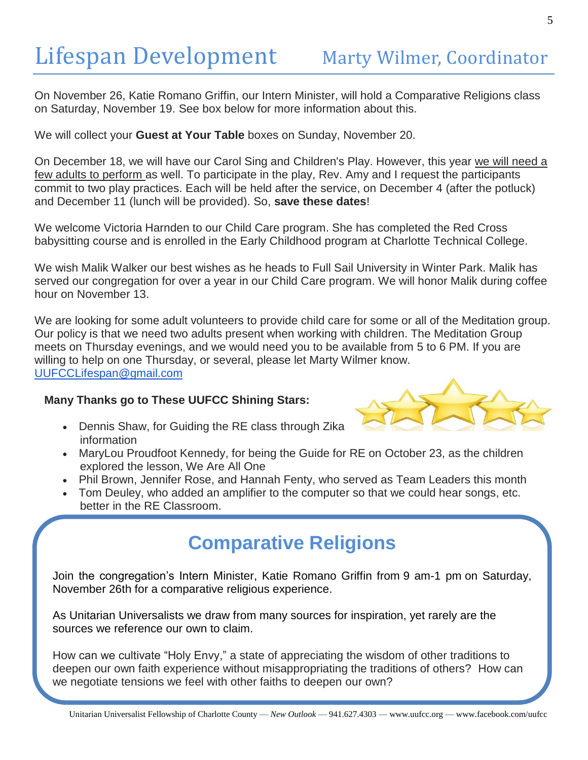On November 26, Katie Romano Griffin, our Intern Minister, will hold a Comparative Religions class on Saturday, November 19. See box below for more information about this.

We will collect your **Guest at Your Table** boxes on Sunday, November 20.

On December 18, we will have our Carol Sing and Children's Play. However, this year we will need a few adults to perform as well. To participate in the play, Rev. Amy and I request the participants commit to two play practices. Each will be held after the service, on December 4 (after the potluck) and December 11 (lunch will be provided). So, **save these dates**!

We welcome Victoria Harnden to our Child Care program. She has completed the Red Cross babysitting course and is enrolled in the Early Childhood program at Charlotte Technical College.

We wish Malik Walker our best wishes as he heads to Full Sail University in Winter Park. Malik has served our congregation for over a year in our Child Care program. We will honor Malik during coffee hour on November 13.

We are looking for some adult volunteers to provide child care for some or all of the Meditation group. Our policy is that we need two adults present when working with children. The Meditation Group meets on Thursday evenings, and we would need you to be available from 5 to 6 PM. If you are willing to help on one Thursday, or several, please let Marty Wilmer know. [UUFCCLifespan@gmail.com](mailto:UUFCCLifespan@gmail.com)

#### **Many Thanks go to These UUFCC Shining Stars:**

 Dennis Shaw, for Guiding the RE class through Zika information



- MaryLou Proudfoot Kennedy, for being the Guide for RE on October 23, as the children explored the lesson, We Are All One
- Phil Brown, Jennifer Rose, and Hannah Fenty, who served as Team Leaders this month
- Tom Deuley, who added an amplifier to the computer so that we could hear songs, etc. better in the RE Classroom.

### **Comparative Religions**

Join the congregation's Intern Minister, Katie Romano Griffin from 9 am-1 pm on Saturday, November 26th for a comparative religious experience.

As Unitarian Universalists we draw from many sources for inspiration, yet rarely are the sources we reference our own to claim.

How can we cultivate "Holy Envy," a state of appreciating the wisdom of other traditions to deepen our own faith experience without misappropriating the traditions of others? How can we negotiate tensions we feel with other faiths to deepen our own?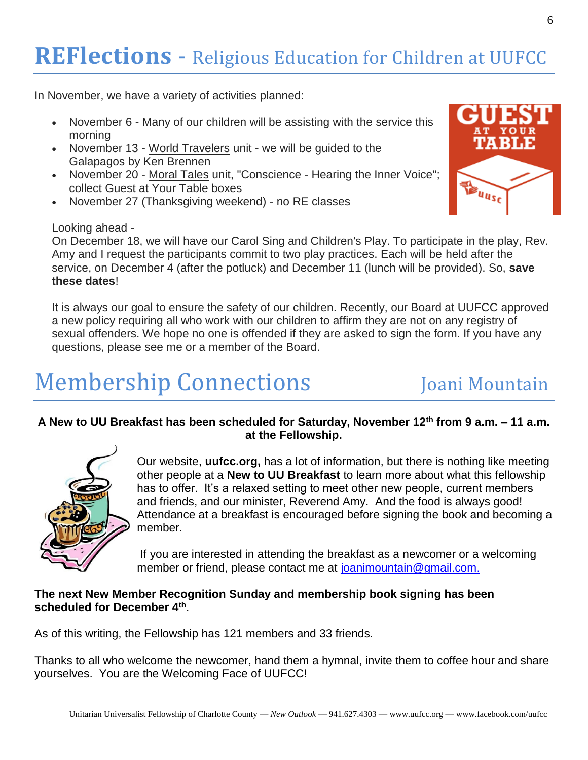## **REFlections** - Religious Education for Children at UUFCC

In November, we have a variety of activities planned:

- November 6 Many of our children will be assisting with the service this morning
- November 13 World Travelers unit we will be guided to the Galapagos by Ken Brennen
- November 20 Moral Tales unit, "Conscience Hearing the Inner Voice"; collect Guest at Your Table boxes
- November 27 (Thanksgiving weekend) no RE classes

#### Looking ahead -

On December 18, we will have our Carol Sing and Children's Play. To participate in the play, Rev. Amy and I request the participants commit to two play practices. Each will be held after the service, on December 4 (after the potluck) and December 11 (lunch will be provided). So, **save these dates**!

It is always our goal to ensure the safety of our children. Recently, our Board at UUFCC approved a new policy requiring all who work with our children to affirm they are not on any registry of sexual offenders. We hope no one is offended if they are asked to sign the form. If you have any questions, please see me or a member of the Board.

## Membership Connections Joani Mountain

#### **A New to UU Breakfast has been scheduled for Saturday, November 12th from 9 a.m. – 11 a.m. at the Fellowship.**



Our website, **uufcc.org,** has a lot of information, but there is nothing like meeting other people at a **New to UU Breakfast** to learn more about what this fellowship has to offer. It's a relaxed setting to meet other new people, current members and friends, and our minister, Reverend Amy. And the food is always good! Attendance at a breakfast is encouraged before signing the book and becoming a member.

If you are interested in attending the breakfast as a newcomer or a welcoming member or friend, please contact me at [joanimountain@gmail.com.](mailto:joanimountain@gmail.com)

#### **The next New Member Recognition Sunday and membership book signing has been scheduled for December 4th** .

As of this writing, the Fellowship has 121 members and 33 friends.

Thanks to all who welcome the newcomer, hand them a hymnal, invite them to coffee hour and share yourselves. You are the Welcoming Face of UUFCC!

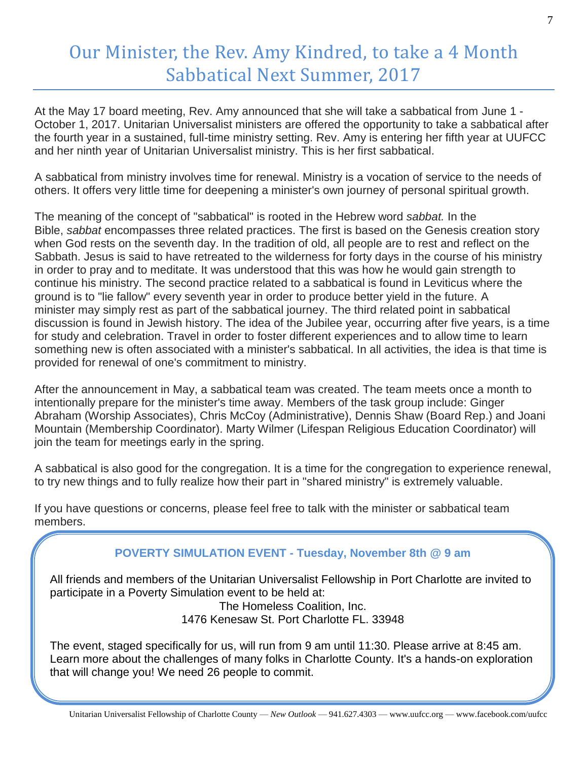### Our Minister, the Rev. Amy Kindred, to take a 4 Month Sabbatical Next Summer, 2017

At the May 17 board meeting, Rev. Amy announced that she will take a sabbatical from June 1 - October 1, 2017. Unitarian Universalist ministers are offered the opportunity to take a sabbatical after the fourth year in a sustained, full-time ministry setting. Rev. Amy is entering her fifth year at UUFCC and her ninth year of Unitarian Universalist ministry. This is her first sabbatical.

A sabbatical from ministry involves time for renewal. Ministry is a vocation of service to the needs of others. It offers very little time for deepening a minister's own journey of personal spiritual growth.

The meaning of the concept of "sabbatical" is rooted in the Hebrew word *sabbat.* In the Bible, *sabbat* encompasses three related practices. The first is based on the Genesis creation story when God rests on the seventh day. In the tradition of old, all people are to rest and reflect on the Sabbath. Jesus is said to have retreated to the wilderness for forty days in the course of his ministry in order to pray and to meditate. It was understood that this was how he would gain strength to continue his ministry. The second practice related to a sabbatical is found in Leviticus where the ground is to "lie fallow" every seventh year in order to produce better yield in the future. A minister may simply rest as part of the sabbatical journey. The third related point in sabbatical discussion is found in Jewish history. The idea of the Jubilee year, occurring after five years, is a time for study and celebration. Travel in order to foster different experiences and to allow time to learn something new is often associated with a minister's sabbatical. In all activities, the idea is that time is provided for renewal of one's commitment to ministry.

After the announcement in May, a sabbatical team was created. The team meets once a month to intentionally prepare for the minister's time away. Members of the task group include: Ginger Abraham (Worship Associates), Chris McCoy (Administrative), Dennis Shaw (Board Rep.) and Joani Mountain (Membership Coordinator). Marty Wilmer (Lifespan Religious Education Coordinator) will join the team for meetings early in the spring.

A sabbatical is also good for the congregation. It is a time for the congregation to experience renewal, to try new things and to fully realize how their part in "shared ministry" is extremely valuable.

If you have questions or concerns, please feel free to talk with the minister or sabbatical team members.

#### **POVERTY SIMULATION EVENT - Tuesday, November 8th @ 9 am**

All friends and members of the Unitarian Universalist Fellowship in Port Charlotte are invited to participate in a Poverty Simulation event to be held at:

> The Homeless Coalition, Inc. 1476 Kenesaw St. Port Charlotte FL. 33948

The event, staged specifically for us, will run from 9 am until 11:30. Please arrive at 8:45 am. Learn more about the challenges of many folks in Charlotte County. It's a hands-on exploration that will change you! We need 26 people to commit.